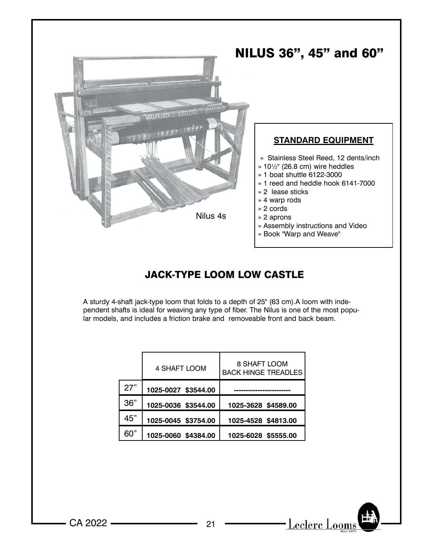

## JACK-TYPE LOOM LOW CASTLE

A sturdy 4-shaft jack-type loom that folds to a depth of 25" (63 cm).A loom with independent shafts is ideal for weaving any type of fiber. The Nilus is one of the most popular models, and includes a friction brake and removeable front and back beam.

|     | 4 SHAFT LOOM        | 8 SHAFT LOOM<br><b>BACK HINGE TREADLES</b> |  |  |  |
|-----|---------------------|--------------------------------------------|--|--|--|
| 27" | 1025-0027 \$3544.00 |                                            |  |  |  |
| 36" | 1025-0036 \$3544.00 | 1025-3628 \$4589.00                        |  |  |  |
| 45" | 1025-0045 \$3754.00 | 1025-4528 \$4813.00                        |  |  |  |
| 60" | 1025-0060 \$4384.00 | 1025-6028 \$5555.00                        |  |  |  |

CA 2022 21

 $-\underline{\text{Lecherc Looms}}$